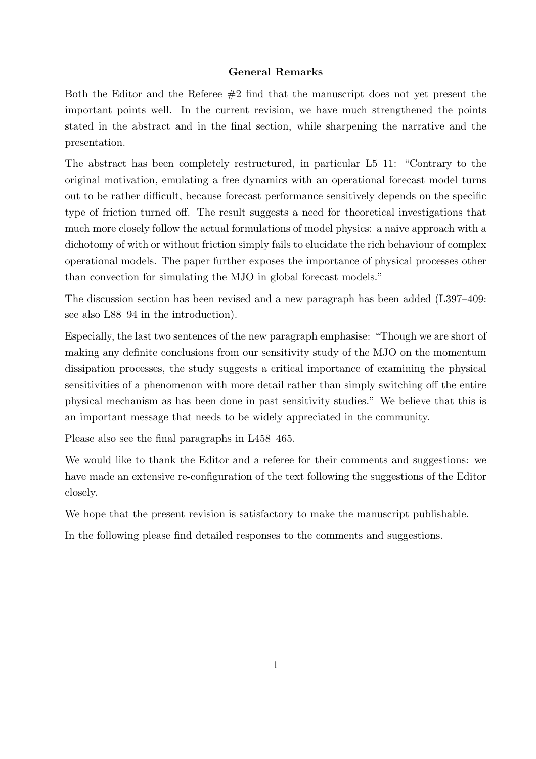## General Remarks

Both the Editor and the Referee  $#2$  find that the manuscript does not yet present the important points well. In the current revision, we have much strengthened the points stated in the abstract and in the final section, while sharpening the narrative and the presentation.

The abstract has been completely restructured, in particular L5–11: "Contrary to the original motivation, emulating a free dynamics with an operational forecast model turns out to be rather difficult, because forecast performance sensitively depends on the specific type of friction turned off. The result suggests a need for theoretical investigations that much more closely follow the actual formulations of model physics: a naive approach with a dichotomy of with or without friction simply fails to elucidate the rich behaviour of complex operational models. The paper further exposes the importance of physical processes other than convection for simulating the MJO in global forecast models."

The discussion section has been revised and a new paragraph has been added (L397–409: see also L88–94 in the introduction).

Especially, the last two sentences of the new paragraph emphasise: "Though we are short of making any definite conclusions from our sensitivity study of the MJO on the momentum dissipation processes, the study suggests a critical importance of examining the physical sensitivities of a phenomenon with more detail rather than simply switching off the entire physical mechanism as has been done in past sensitivity studies." We believe that this is an important message that needs to be widely appreciated in the community.

Please also see the final paragraphs in L458–465.

We would like to thank the Editor and a referee for their comments and suggestions: we have made an extensive re-configuration of the text following the suggestions of the Editor closely.

We hope that the present revision is satisfactory to make the manuscript publishable.

In the following please find detailed responses to the comments and suggestions.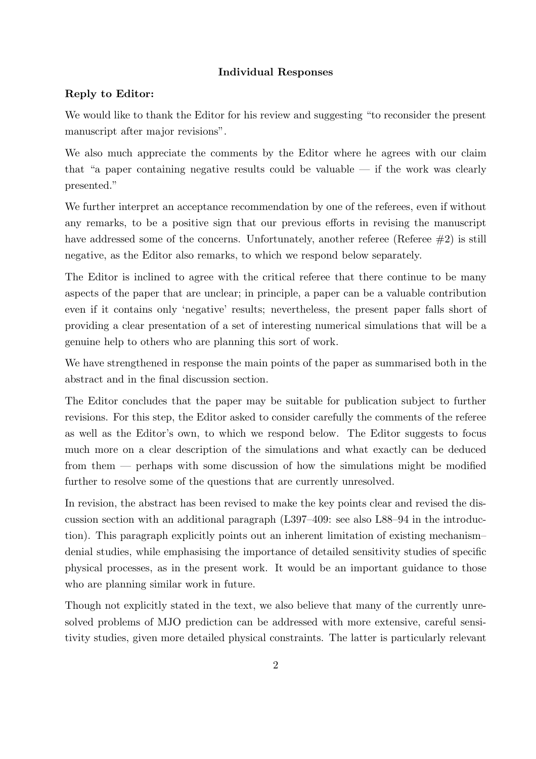# Individual Responses

# Reply to Editor:

We would like to thank the Editor for his review and suggesting "to reconsider the present manuscript after major revisions".

We also much appreciate the comments by the Editor where he agrees with our claim that "a paper containing negative results could be valuable  $-$  if the work was clearly presented."

We further interpret an acceptance recommendation by one of the referees, even if without any remarks, to be a positive sign that our previous efforts in revising the manuscript have addressed some of the concerns. Unfortunately, another referee (Referee  $\#2$ ) is still negative, as the Editor also remarks, to which we respond below separately.

The Editor is inclined to agree with the critical referee that there continue to be many aspects of the paper that are unclear; in principle, a paper can be a valuable contribution even if it contains only 'negative' results; nevertheless, the present paper falls short of providing a clear presentation of a set of interesting numerical simulations that will be a genuine help to others who are planning this sort of work.

We have strengthened in response the main points of the paper as summarised both in the abstract and in the final discussion section.

The Editor concludes that the paper may be suitable for publication subject to further revisions. For this step, the Editor asked to consider carefully the comments of the referee as well as the Editor's own, to which we respond below. The Editor suggests to focus much more on a clear description of the simulations and what exactly can be deduced from them — perhaps with some discussion of how the simulations might be modified further to resolve some of the questions that are currently unresolved.

In revision, the abstract has been revised to make the key points clear and revised the discussion section with an additional paragraph (L397–409: see also L88–94 in the introduction). This paragraph explicitly points out an inherent limitation of existing mechanism– denial studies, while emphasising the importance of detailed sensitivity studies of specific physical processes, as in the present work. It would be an important guidance to those who are planning similar work in future.

Though not explicitly stated in the text, we also believe that many of the currently unresolved problems of MJO prediction can be addressed with more extensive, careful sensitivity studies, given more detailed physical constraints. The latter is particularly relevant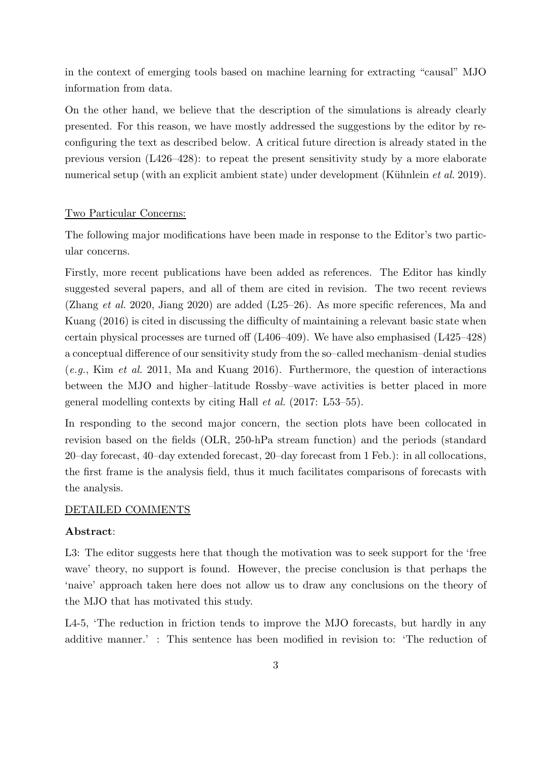in the context of emerging tools based on machine learning for extracting "causal" MJO information from data.

On the other hand, we believe that the description of the simulations is already clearly presented. For this reason, we have mostly addressed the suggestions by the editor by reconfiguring the text as described below. A critical future direction is already stated in the previous version (L426–428): to repeat the present sensitivity study by a more elaborate numerical setup (with an explicit ambient state) under development (Kühnlein *et al.* 2019).

### Two Particular Concerns:

The following major modifications have been made in response to the Editor's two particular concerns.

Firstly, more recent publications have been added as references. The Editor has kindly suggested several papers, and all of them are cited in revision. The two recent reviews (Zhang et al. 2020, Jiang 2020) are added (L25–26). As more specific references, Ma and Kuang (2016) is cited in discussing the difficulty of maintaining a relevant basic state when certain physical processes are turned off (L406–409). We have also emphasised (L425–428) a conceptual difference of our sensitivity study from the so–called mechanism–denial studies (e.g., Kim et al. 2011, Ma and Kuang 2016). Furthermore, the question of interactions between the MJO and higher–latitude Rossby–wave activities is better placed in more general modelling contexts by citing Hall et al. (2017: L53–55).

In responding to the second major concern, the section plots have been collocated in revision based on the fields (OLR, 250-hPa stream function) and the periods (standard 20–day forecast, 40–day extended forecast, 20–day forecast from 1 Feb.): in all collocations, the first frame is the analysis field, thus it much facilitates comparisons of forecasts with the analysis.

#### DETAILED COMMENTS

#### Abstract:

L3: The editor suggests here that though the motivation was to seek support for the 'free wave' theory, no support is found. However, the precise conclusion is that perhaps the 'naive' approach taken here does not allow us to draw any conclusions on the theory of the MJO that has motivated this study.

L4-5, 'The reduction in friction tends to improve the MJO forecasts, but hardly in any additive manner.' : This sentence has been modified in revision to: 'The reduction of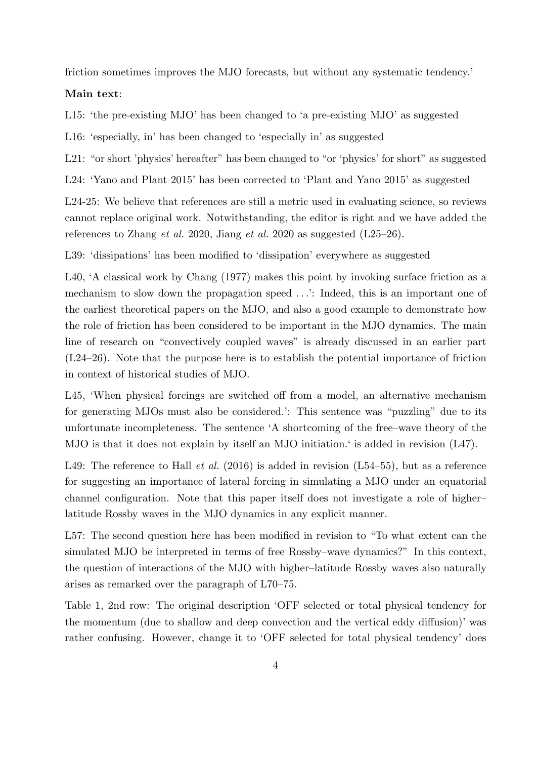friction sometimes improves the MJO forecasts, but without any systematic tendency.'

### Main text:

L15: 'the pre-existing MJO' has been changed to 'a pre-existing MJO' as suggested

L16: 'especially, in' has been changed to 'especially in' as suggested

L21: "or short 'physics' hereafter" has been changed to "or 'physics' for short" as suggested

L24: 'Yano and Plant 2015' has been corrected to 'Plant and Yano 2015' as suggested

L24-25: We believe that references are still a metric used in evaluating science, so reviews cannot replace original work. Notwithstanding, the editor is right and we have added the references to Zhang *et al.* 2020, Jiang *et al.* 2020 as suggested  $(L25-26)$ .

L39: 'dissipations' has been modified to 'dissipation' everywhere as suggested

L40, 'A classical work by Chang (1977) makes this point by invoking surface friction as a mechanism to slow down the propagation speed . . .': Indeed, this is an important one of the earliest theoretical papers on the MJO, and also a good example to demonstrate how the role of friction has been considered to be important in the MJO dynamics. The main line of research on "convectively coupled waves" is already discussed in an earlier part (L24–26). Note that the purpose here is to establish the potential importance of friction in context of historical studies of MJO.

L45, 'When physical forcings are switched off from a model, an alternative mechanism for generating MJOs must also be considered.': This sentence was "puzzling" due to its unfortunate incompleteness. The sentence 'A shortcoming of the free–wave theory of the MJO is that it does not explain by itself an MJO initiation.' is added in revision (L47).

L49: The reference to Hall *et al.* (2016) is added in revision  $(L54-55)$ , but as a reference for suggesting an importance of lateral forcing in simulating a MJO under an equatorial channel configuration. Note that this paper itself does not investigate a role of higher– latitude Rossby waves in the MJO dynamics in any explicit manner.

L57: The second question here has been modified in revision to "To what extent can the simulated MJO be interpreted in terms of free Rossby–wave dynamics?" In this context, the question of interactions of the MJO with higher–latitude Rossby waves also naturally arises as remarked over the paragraph of L70–75.

Table 1, 2nd row: The original description 'OFF selected or total physical tendency for the momentum (due to shallow and deep convection and the vertical eddy diffusion)' was rather confusing. However, change it to 'OFF selected for total physical tendency' does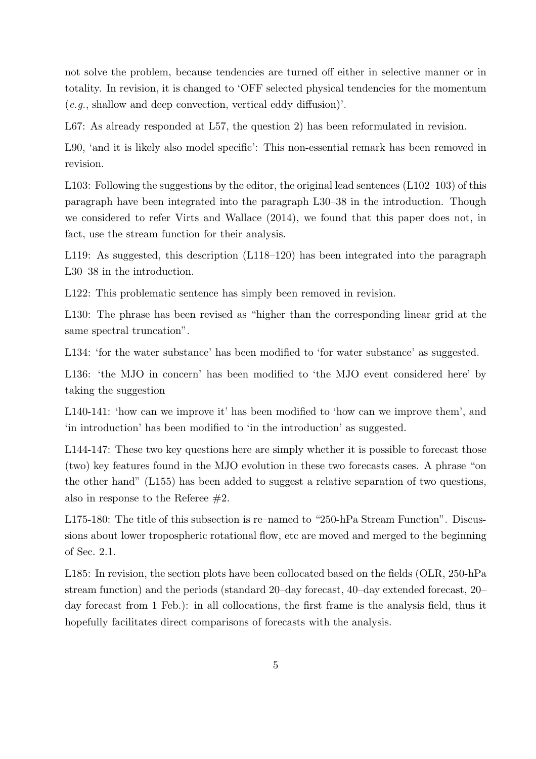not solve the problem, because tendencies are turned off either in selective manner or in totality. In revision, it is changed to 'OFF selected physical tendencies for the momentum (e.g., shallow and deep convection, vertical eddy diffusion)'.

L67: As already responded at L57, the question 2) has been reformulated in revision.

L90, 'and it is likely also model specific': This non-essential remark has been removed in revision.

L103: Following the suggestions by the editor, the original lead sentences (L102–103) of this paragraph have been integrated into the paragraph L30–38 in the introduction. Though we considered to refer Virts and Wallace (2014), we found that this paper does not, in fact, use the stream function for their analysis.

L119: As suggested, this description (L118–120) has been integrated into the paragraph L30–38 in the introduction.

L122: This problematic sentence has simply been removed in revision.

L130: The phrase has been revised as "higher than the corresponding linear grid at the same spectral truncation".

L134: 'for the water substance' has been modified to 'for water substance' as suggested.

L136: 'the MJO in concern' has been modified to 'the MJO event considered here' by taking the suggestion

L140-141: 'how can we improve it' has been modified to 'how can we improve them', and 'in introduction' has been modified to 'in the introduction' as suggested.

L144-147: These two key questions here are simply whether it is possible to forecast those (two) key features found in the MJO evolution in these two forecasts cases. A phrase "on the other hand" (L155) has been added to suggest a relative separation of two questions, also in response to the Referee  $\#2$ .

L175-180: The title of this subsection is re–named to "250-hPa Stream Function". Discussions about lower tropospheric rotational flow, etc are moved and merged to the beginning of Sec. 2.1.

L185: In revision, the section plots have been collocated based on the fields (OLR, 250-hPa stream function) and the periods (standard 20–day forecast, 40–day extended forecast, 20– day forecast from 1 Feb.): in all collocations, the first frame is the analysis field, thus it hopefully facilitates direct comparisons of forecasts with the analysis.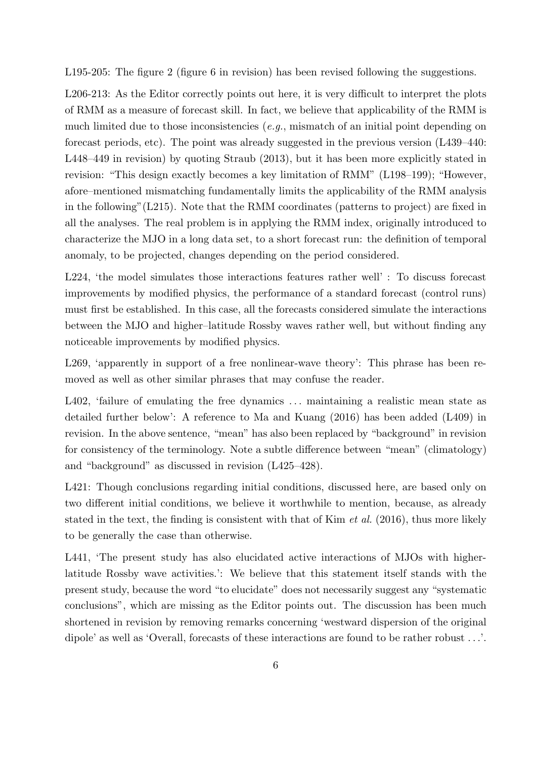L195-205: The figure 2 (figure 6 in revision) has been revised following the suggestions.

L206-213: As the Editor correctly points out here, it is very difficult to interpret the plots of RMM as a measure of forecast skill. In fact, we believe that applicability of the RMM is much limited due to those inconsistencies (e.g., mismatch of an initial point depending on forecast periods, etc). The point was already suggested in the previous version (L439–440: L448–449 in revision) by quoting Straub (2013), but it has been more explicitly stated in revision: "This design exactly becomes a key limitation of RMM" (L198–199); "However, afore–mentioned mismatching fundamentally limits the applicability of the RMM analysis in the following"(L215). Note that the RMM coordinates (patterns to project) are fixed in all the analyses. The real problem is in applying the RMM index, originally introduced to characterize the MJO in a long data set, to a short forecast run: the definition of temporal anomaly, to be projected, changes depending on the period considered.

L224, 'the model simulates those interactions features rather well' : To discuss forecast improvements by modified physics, the performance of a standard forecast (control runs) must first be established. In this case, all the forecasts considered simulate the interactions between the MJO and higher–latitude Rossby waves rather well, but without finding any noticeable improvements by modified physics.

L269, 'apparently in support of a free nonlinear-wave theory': This phrase has been removed as well as other similar phrases that may confuse the reader.

L402, 'failure of emulating the free dynamics ... maintaining a realistic mean state as detailed further below': A reference to Ma and Kuang (2016) has been added (L409) in revision. In the above sentence, "mean" has also been replaced by "background" in revision for consistency of the terminology. Note a subtle difference between "mean" (climatology) and "background" as discussed in revision (L425–428).

L421: Though conclusions regarding initial conditions, discussed here, are based only on two different initial conditions, we believe it worthwhile to mention, because, as already stated in the text, the finding is consistent with that of Kim *et al.* (2016), thus more likely to be generally the case than otherwise.

L441, 'The present study has also elucidated active interactions of MJOs with higherlatitude Rossby wave activities.': We believe that this statement itself stands with the present study, because the word "to elucidate" does not necessarily suggest any "systematic conclusions", which are missing as the Editor points out. The discussion has been much shortened in revision by removing remarks concerning 'westward dispersion of the original dipole' as well as 'Overall, forecasts of these interactions are found to be rather robust . . .'.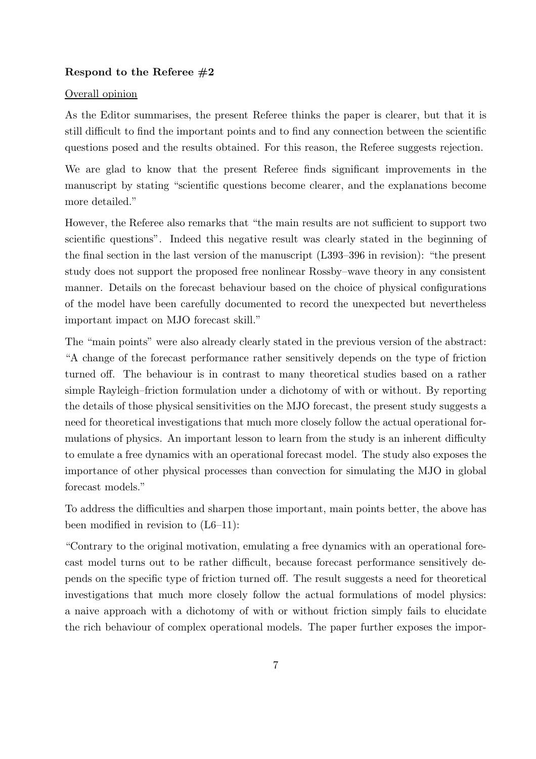## Respond to the Referee  $#2$

### Overall opinion

As the Editor summarises, the present Referee thinks the paper is clearer, but that it is still difficult to find the important points and to find any connection between the scientific questions posed and the results obtained. For this reason, the Referee suggests rejection.

We are glad to know that the present Referee finds significant improvements in the manuscript by stating "scientific questions become clearer, and the explanations become more detailed."

However, the Referee also remarks that "the main results are not sufficient to support two scientific questions". Indeed this negative result was clearly stated in the beginning of the final section in the last version of the manuscript (L393–396 in revision): "the present study does not support the proposed free nonlinear Rossby–wave theory in any consistent manner. Details on the forecast behaviour based on the choice of physical configurations of the model have been carefully documented to record the unexpected but nevertheless important impact on MJO forecast skill."

The "main points" were also already clearly stated in the previous version of the abstract: "A change of the forecast performance rather sensitively depends on the type of friction turned off. The behaviour is in contrast to many theoretical studies based on a rather simple Rayleigh–friction formulation under a dichotomy of with or without. By reporting the details of those physical sensitivities on the MJO forecast, the present study suggests a need for theoretical investigations that much more closely follow the actual operational formulations of physics. An important lesson to learn from the study is an inherent difficulty to emulate a free dynamics with an operational forecast model. The study also exposes the importance of other physical processes than convection for simulating the MJO in global forecast models."

To address the difficulties and sharpen those important, main points better, the above has been modified in revision to  $(L6-11)$ :

"Contrary to the original motivation, emulating a free dynamics with an operational forecast model turns out to be rather difficult, because forecast performance sensitively depends on the specific type of friction turned off. The result suggests a need for theoretical investigations that much more closely follow the actual formulations of model physics: a naive approach with a dichotomy of with or without friction simply fails to elucidate the rich behaviour of complex operational models. The paper further exposes the impor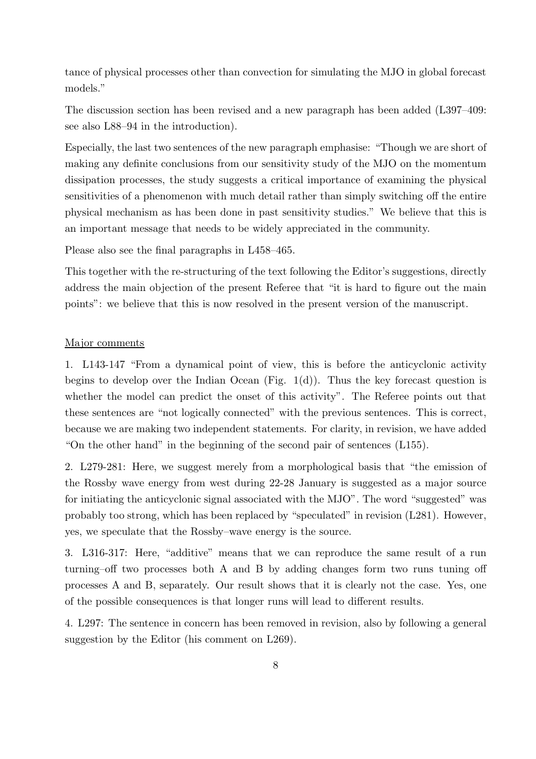tance of physical processes other than convection for simulating the MJO in global forecast models."

The discussion section has been revised and a new paragraph has been added (L397–409: see also L88–94 in the introduction).

Especially, the last two sentences of the new paragraph emphasise: "Though we are short of making any definite conclusions from our sensitivity study of the MJO on the momentum dissipation processes, the study suggests a critical importance of examining the physical sensitivities of a phenomenon with much detail rather than simply switching off the entire physical mechanism as has been done in past sensitivity studies." We believe that this is an important message that needs to be widely appreciated in the community.

Please also see the final paragraphs in L458–465.

This together with the re-structuring of the text following the Editor's suggestions, directly address the main objection of the present Referee that "it is hard to figure out the main points": we believe that this is now resolved in the present version of the manuscript.

### Major comments

1. L143-147 "From a dynamical point of view, this is before the anticyclonic activity begins to develop over the Indian Ocean (Fig.  $1(d)$ ). Thus the key forecast question is whether the model can predict the onset of this activity". The Referee points out that these sentences are "not logically connected" with the previous sentences. This is correct, because we are making two independent statements. For clarity, in revision, we have added "On the other hand" in the beginning of the second pair of sentences (L155).

2. L279-281: Here, we suggest merely from a morphological basis that "the emission of the Rossby wave energy from west during 22-28 January is suggested as a major source for initiating the anticyclonic signal associated with the MJO". The word "suggested" was probably too strong, which has been replaced by "speculated" in revision  $(L281)$ . However, yes, we speculate that the Rossby–wave energy is the source.

3. L316-317: Here, "additive" means that we can reproduce the same result of a run turning–off two processes both A and B by adding changes form two runs tuning off processes A and B, separately. Our result shows that it is clearly not the case. Yes, one of the possible consequences is that longer runs will lead to different results.

4. L297: The sentence in concern has been removed in revision, also by following a general suggestion by the Editor (his comment on L269).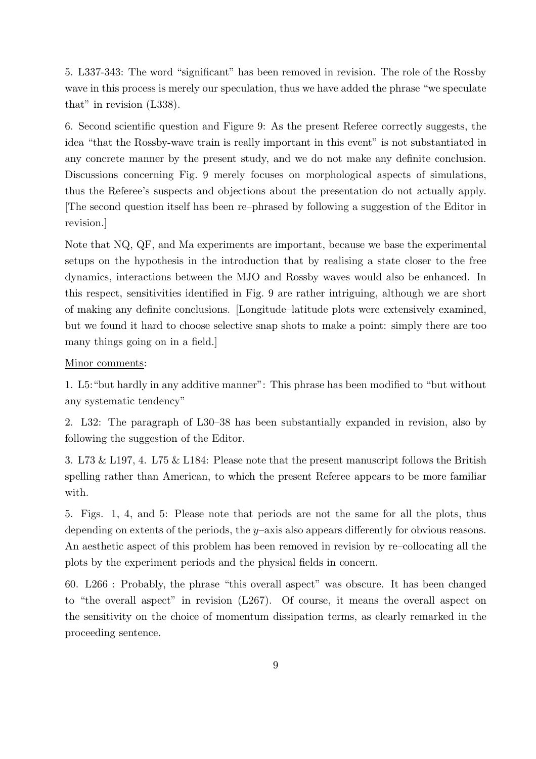5. L337-343: The word "significant" has been removed in revision. The role of the Rossby wave in this process is merely our speculation, thus we have added the phrase "we speculate that" in revision (L338).

6. Second scientific question and Figure 9: As the present Referee correctly suggests, the idea "that the Rossby-wave train is really important in this event" is not substantiated in any concrete manner by the present study, and we do not make any definite conclusion. Discussions concerning Fig. 9 merely focuses on morphological aspects of simulations, thus the Referee's suspects and objections about the presentation do not actually apply. [The second question itself has been re–phrased by following a suggestion of the Editor in revision.]

Note that NQ, QF, and Ma experiments are important, because we base the experimental setups on the hypothesis in the introduction that by realising a state closer to the free dynamics, interactions between the MJO and Rossby waves would also be enhanced. In this respect, sensitivities identified in Fig. 9 are rather intriguing, although we are short of making any definite conclusions. [Longitude–latitude plots were extensively examined, but we found it hard to choose selective snap shots to make a point: simply there are too many things going on in a field.]

### Minor comments:

1. L5:"but hardly in any additive manner": This phrase has been modified to "but without any systematic tendency"

2. L32: The paragraph of L30–38 has been substantially expanded in revision, also by following the suggestion of the Editor.

3. L73 & L197, 4. L75 & L184: Please note that the present manuscript follows the British spelling rather than American, to which the present Referee appears to be more familiar with.

5. Figs. 1, 4, and 5: Please note that periods are not the same for all the plots, thus depending on extents of the periods, the y–axis also appears differently for obvious reasons. An aesthetic aspect of this problem has been removed in revision by re–collocating all the plots by the experiment periods and the physical fields in concern.

60. L266 : Probably, the phrase "this overall aspect" was obscure. It has been changed to "the overall aspect" in revision (L267). Of course, it means the overall aspect on the sensitivity on the choice of momentum dissipation terms, as clearly remarked in the proceeding sentence.